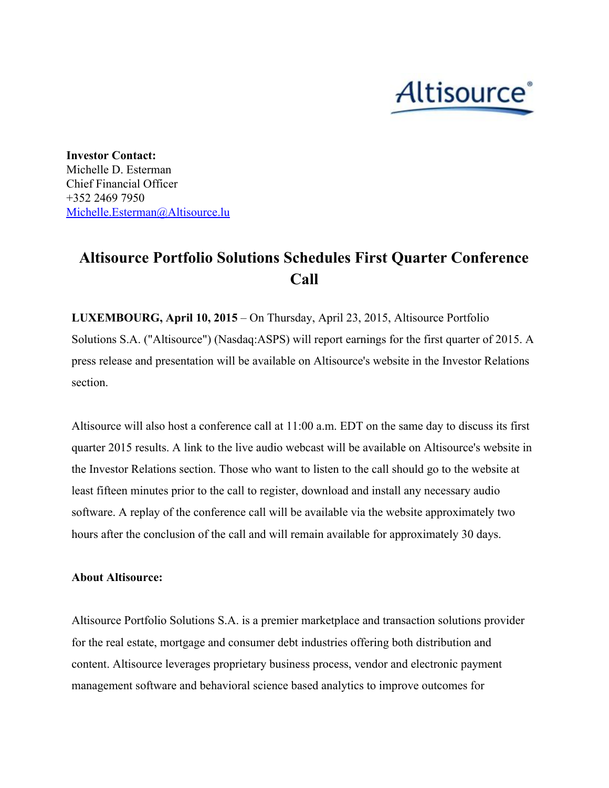

**Investor Contact:** Michelle D. Esterman Chief Financial Officer +352 2469 7950 [Michelle.Esterman@Altisource.lu](mailto:Michelle.Esterman@Altisource.lu)

## **Altisource Portfolio Solutions Schedules First Quarter Conference Call**

**LUXEMBOURG, April 10, 2015**– On Thursday, April 23, 2015, Altisource Portfolio Solutions S.A. ("Altisource") (Nasdaq:ASPS) will report earnings for the first quarter of 2015. A press release and presentation will be available on Altisource's website in the Investor Relations section.

Altisource will also host a conference call at 11:00 a.m. EDT on the same day to discuss its first quarter 2015 results. A link to the live audio webcast will be available on Altisource's website in the Investor Relations section. Those who want to listen to the call should go to the website at least fifteen minutes prior to the call to register, download and install any necessary audio software. A replay of the conference call will be available via the website approximately two hours after the conclusion of the call and will remain available for approximately 30 days.

## **About Altisource:**

Altisource Portfolio Solutions S.A. is a premier marketplace and transaction solutions provider for the real estate, mortgage and consumer debt industries offering both distribution and content. Altisource leverages proprietary business process, vendor and electronic payment management software and behavioral science based analytics to improve outcomes for